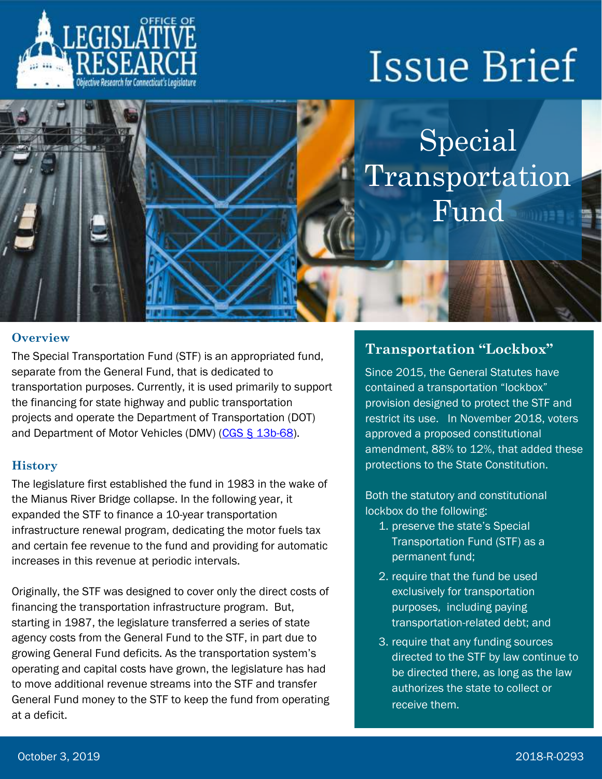

# **Issue Brief**

Special Transportation Fund

## **verview <b>***Overview*

The Special Transportation Fund (STF) is an appropriated fund, separate from the General Fund, that is dedicated to transportation purposes. Currently, it is used primarily to support the financing for state highway and public transportation projects and operate the Department of Transportation (DOT) and Department of Motor Vehicles (DMV) [\(CGS § 13b-68\)](https://www.cga.ct.gov/current/pub/chap_243.htm#sec_13b-68).

#### **History**

The legislature first established the fund in 1983 in the wake of the Mianus River Bridge collapse. In the following year, it expanded the STF to finance a 10-year transportation infrastructure renewal program, dedicating the motor fuels tax and certain fee revenue to the fund and providing for automatic increases in this revenue at periodic intervals.

Originally, the STF was designed to cover only the direct costs of financing the transportation infrastructure program. But, starting in 1987, the legislature transferred a series of state agency costs from the General Fund to the STF, in part due to growing General Fund deficits. As the transportation system's operating and capital costs have grown, the legislature has had to move additional revenue streams into the STF and transfer General Fund money to the STF to keep the fund from operating at a deficit.

### **Transportation "Lockbox"**

Since 2015, the General Statutes have contained a transportation "lockbox" provision designed to protect the STF and restrict its use. In November 2018, voters approved a proposed constitutional amendment, 88% to 12%, that added these protections to the State Constitution.

Both the statutory and constitutional lockbox do the following:

- 1. preserve the state's Special Transportation Fund (STF) as a permanent fund;
- 2. require that the fund be used exclusively for transportation purposes, including paying transportation-related debt; and
- 3. require that any funding sources directed to the STF by law continue to be directed there, as long as the law authorizes the state to collect or receive them.